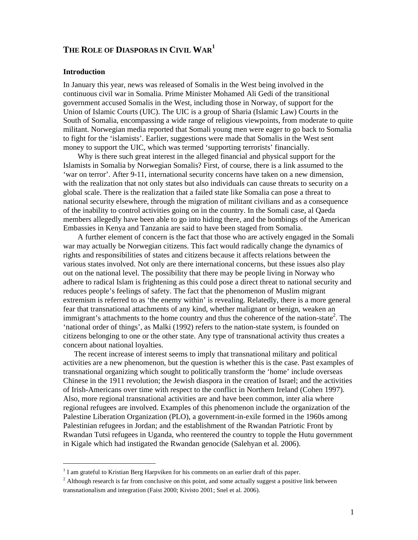# **THE ROLE OF DIASPORAS IN CIVIL WAR<sup>1</sup>**

## **Introduction**

 $\overline{a}$ 

In January this year, news was released of Somalis in the West being involved in the continuous civil war in Somalia. Prime Minister Mohamed Ali Gedi of the transitional government accused Somalis in the West, including those in Norway, of support for the Union of Islamic Courts (UIC). The UIC is a group of Sharia (Islamic Law) Courts in the South of Somalia, encompassing a wide range of religious viewpoints, from moderate to quite militant. Norwegian media reported that Somali young men were eager to go back to Somalia to fight for the 'islamists'. Earlier, suggestions were made that Somalis in the West sent money to support the UIC, which was termed 'supporting terrorists' financially.

Why is there such great interest in the alleged financial and physical support for the Islamists in Somalia by Norwegian Somalis? First, of course, there is a link assumed to the 'war on terror'. After 9-11, international security concerns have taken on a new dimension, with the realization that not only states but also individuals can cause threats to security on a global scale. There is the realization that a failed state like Somalia can pose a threat to national security elsewhere, through the migration of militant civilians and as a consequence of the inability to control activities going on in the country. In the Somali case, al Qaeda members allegedly have been able to go into hiding there, and the bombings of the American Embassies in Kenya and Tanzania are said to have been staged from Somalia.

A further element of concern is the fact that those who are actively engaged in the Somali war may actually be Norwegian citizens. This fact would radically change the dynamics of rights and responsibilities of states and citizens because it affects relations between the various states involved. Not only are there international concerns, but these issues also play out on the national level. The possibility that there may be people living in Norway who adhere to radical Islam is frightening as this could pose a direct threat to national security and reduces people's feelings of safety. The fact that the phenomenon of Muslim migrant extremism is referred to as 'the enemy within' is revealing. Relatedly, there is a more general fear that transnational attachments of any kind, whether malignant or benign, weaken an immigrant's attachments to the home country and thus the coherence of the nation-state<sup>2</sup>. The 'national order of things', as Malki (1992) refers to the nation-state system, is founded on citizens belonging to one or the other state. Any type of transnational activity thus creates a concern about national loyalties.

The recent increase of interest seems to imply that transnational military and political activities are a new phenomenon, but the question is whether this is the case. Past examples of transnational organizing which sought to politically transform the 'home' include overseas Chinese in the 1911 revolution; the Jewish diaspora in the creation of Israel; and the activities of Irish-Americans over time with respect to the conflict in Northern Ireland (Cohen 1997). Also, more regional transnational activities are and have been common, inter alia where regional refugees are involved. Examples of this phenomenon include the organization of the Palestine Liberation Organization (PLO), a government-in-exile formed in the 1960s among Palestinian refugees in Jordan; and the establishment of the Rwandan Patriotic Front by Rwandan Tutsi refugees in Uganda, who reentered the country to topple the Hutu government in Kigale which had instigated the Rwandan genocide (Salehyan et al. 2006).

 $<sup>1</sup>$  I am grateful to Kristian Berg Harpviken for his comments on an earlier draft of this paper.</sup>

 $2$  Although research is far from conclusive on this point, and some actually suggest a positive link between transnationalism and integration (Faist 2000; Kivisto 2001; Snel et al. 2006).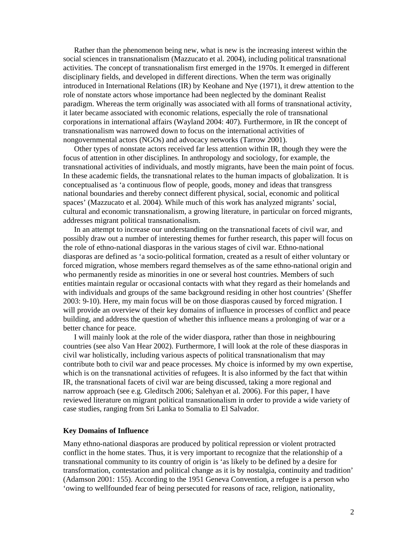Rather than the phenomenon being new, what is new is the increasing interest within the social sciences in transnationalism (Mazzucato et al. 2004), including political transnational activities. The concept of transnationalism first emerged in the 1970s. It emerged in different disciplinary fields, and developed in different directions. When the term was originally introduced in International Relations (IR) by Keohane and Nye (1971), it drew attention to the role of nonstate actors whose importance had been neglected by the dominant Realist paradigm. Whereas the term originally was associated with all forms of transnational activity, it later became associated with economic relations, especially the role of transnational corporations in international affairs (Wayland 2004: 407). Furthermore, in IR the concept of transnationalism was narrowed down to focus on the international activities of nongovernmental actors (NGOs) and advocacy networks (Tarrow 2001).

Other types of nonstate actors received far less attention within IR, though they were the focus of attention in other disciplines. In anthropology and sociology, for example, the transnational activities of individuals, and mostly migrants, have been the main point of focus. In these academic fields, the transnational relates to the human impacts of globalization. It is conceptualised as 'a continuous flow of people, goods, money and ideas that transgress national boundaries and thereby connect different physical, social, economic and political spaces' (Mazzucato et al. 2004). While much of this work has analyzed migrants' social, cultural and economic transnationalism, a growing literature, in particular on forced migrants, addresses migrant political transnationalism.

In an attempt to increase our understanding on the transnational facets of civil war, and possibly draw out a number of interesting themes for further research, this paper will focus on the role of ethno-national diasporas in the various stages of civil war. Ethno-national diasporas are defined as 'a socio-political formation, created as a result of either voluntary or forced migration, whose members regard themselves as of the same ethno-national origin and who permanently reside as minorities in one or several host countries. Members of such entities maintain regular or occasional contacts with what they regard as their homelands and with individuals and groups of the same background residing in other host countries' (Sheffer 2003: 9-10). Here, my main focus will be on those diasporas caused by forced migration. I will provide an overview of their key domains of influence in processes of conflict and peace building, and address the question of whether this influence means a prolonging of war or a better chance for peace.

I will mainly look at the role of the wider diaspora, rather than those in neighbouring countries (see also Van Hear 2002). Furthermore, I will look at the role of these diasporas in civil war holistically, including various aspects of political transnationalism that may contribute both to civil war and peace processes. My choice is informed by my own expertise, which is on the transnational activities of refugees. It is also informed by the fact that within IR, the transnational facets of civil war are being discussed, taking a more regional and narrow approach (see e.g. Gleditsch 2006; Salehyan et al. 2006). For this paper, I have reviewed literature on migrant political transnationalism in order to provide a wide variety of case studies, ranging from Sri Lanka to Somalia to El Salvador.

#### **Key Domains of Influence**

Many ethno-national diasporas are produced by political repression or violent protracted conflict in the home states. Thus, it is very important to recognize that the relationship of a transnational community to its country of origin is 'as likely to be defined by a desire for transformation, contestation and political change as it is by nostalgia, continuity and tradition' (Adamson 2001: 155). According to the 1951 Geneva Convention, a refugee is a person who 'owing to wellfounded fear of being persecuted for reasons of race, religion, nationality,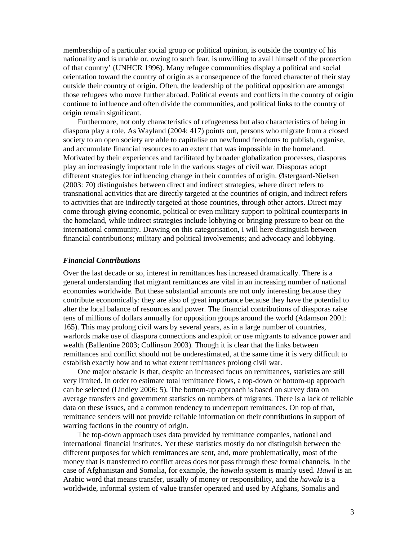membership of a particular social group or political opinion, is outside the country of his nationality and is unable or, owing to such fear, is unwilling to avail himself of the protection of that country' (UNHCR 1996). Many refugee communities display a political and social orientation toward the country of origin as a consequence of the forced character of their stay outside their country of origin. Often, the leadership of the political opposition are amongst those refugees who move further abroad. Political events and conflicts in the country of origin continue to influence and often divide the communities, and political links to the country of origin remain significant.

 Furthermore, not only characteristics of refugeeness but also characteristics of being in diaspora play a role. As Wayland (2004: 417) points out, persons who migrate from a closed society to an open society are able to capitalise on newfound freedoms to publish, organise, and accumulate financial resources to an extent that was impossible in the homeland. Motivated by their experiences and facilitated by broader globalization processes, diasporas play an increasingly important role in the various stages of civil war. Diasporas adopt different strategies for influencing change in their countries of origin. Østergaard-Nielsen (2003: 70) distinguishes between direct and indirect strategies, where direct refers to transnational activities that are directly targeted at the countries of origin, and indirect refers to activities that are indirectly targeted at those countries, through other actors. Direct may come through giving economic, political or even military support to political counterparts in the homeland, while indirect strategies include lobbying or bringing pressure to bear on the international community. Drawing on this categorisation, I will here distinguish between financial contributions; military and political involvements; and advocacy and lobbying.

## *Financial Contributions*

Over the last decade or so, interest in remittances has increased dramatically. There is a general understanding that migrant remittances are vital in an increasing number of national economies worldwide. But these substantial amounts are not only interesting because they contribute economically: they are also of great importance because they have the potential to alter the local balance of resources and power. The financial contributions of diasporas raise tens of millions of dollars annually for opposition groups around the world (Adamson 2001: 165). This may prolong civil wars by several years, as in a large number of countries, warlords make use of diaspora connections and exploit or use migrants to advance power and wealth (Ballentine 2003; Collinson 2003). Though it is clear that the links between remittances and conflict should not be underestimated, at the same time it is very difficult to establish exactly how and to what extent remittances prolong civil war.

 One major obstacle is that, despite an increased focus on remittances, statistics are still very limited. In order to estimate total remittance flows, a top-down or bottom-up approach can be selected (Lindley 2006: 5). The bottom-up approach is based on survey data on average transfers and government statistics on numbers of migrants. There is a lack of reliable data on these issues, and a common tendency to underreport remittances. On top of that, remittance senders will not provide reliable information on their contributions in support of warring factions in the country of origin.

The top-down approach uses data provided by remittance companies, national and international financial institutes. Yet these statistics mostly do not distinguish between the different purposes for which remittances are sent, and, more problematically, most of the money that is transferred to conflict areas does not pass through these formal channels. In the case of Afghanistan and Somalia, for example, the *hawala* system is mainly used. *Hawil* is an Arabic word that means transfer, usually of money or responsibility, and the *hawala* is a worldwide, informal system of value transfer operated and used by Afghans, Somalis and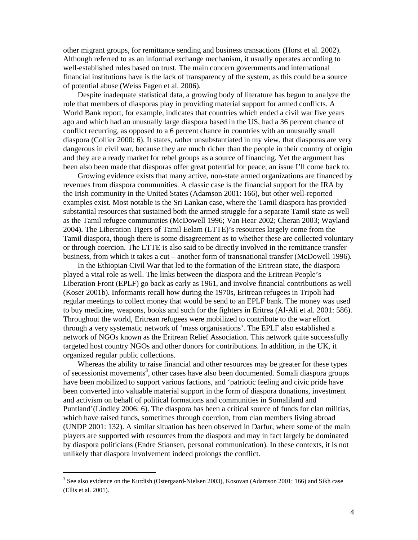other migrant groups, for remittance sending and business transactions (Horst et al. 2002). Although referred to as an informal exchange mechanism, it usually operates according to well-established rules based on trust. The main concern governments and international financial institutions have is the lack of transparency of the system, as this could be a source of potential abuse (Weiss Fagen et al. 2006).

 Despite inadequate statistical data, a growing body of literature has begun to analyze the role that members of diasporas play in providing material support for armed conflicts. A World Bank report, for example, indicates that countries which ended a civil war five years ago and which had an unusually large diaspora based in the US, had a 36 percent chance of conflict recurring, as opposed to a 6 percent chance in countries with an unusually small diaspora (Collier 2000: 6). It states, rather unsubstantiated in my view, that diasporas are very dangerous in civil war, because they are much richer than the people in their country of origin and they are a ready market for rebel groups as a source of financing. Yet the argument has been also been made that diasporas offer great potential for peace; an issue I'll come back to.

 Growing evidence exists that many active, non-state armed organizations are financed by revenues from diaspora communities. A classic case is the financial support for the IRA by the Irish community in the United States (Adamson 2001: 166), but other well-reported examples exist. Most notable is the Sri Lankan case, where the Tamil diaspora has provided substantial resources that sustained both the armed struggle for a separate Tamil state as well as the Tamil refugee communities (McDowell 1996; Van Hear 2002; Cheran 2003; Wayland 2004). The Liberation Tigers of Tamil Eelam (LTTE)'s resources largely come from the Tamil diaspora, though there is some disagreement as to whether these are collected voluntary or through coercion. The LTTE is also said to be directly involved in the remittance transfer business, from which it takes a cut – another form of transnational transfer (McDowell 1996).

 In the Ethiopian Civil War that led to the formation of the Eritrean state, the diaspora played a vital role as well. The links between the diaspora and the Eritrean People's Liberation Front (EPLF) go back as early as 1961, and involve financial contributions as well (Koser 2001b). Informants recall how during the 1970s, Eritrean refugees in Tripoli had regular meetings to collect money that would be send to an EPLF bank. The money was used to buy medicine, weapons, books and such for the fighters in Eritrea (Al-Ali et al. 2001: 586). Throughout the world, Eritrean refugees were mobilized to contribute to the war effort through a very systematic network of 'mass organisations'. The EPLF also established a network of NGOs known as the Eritrean Relief Association. This network quite successfully targeted host country NGOs and other donors for contributions. In addition, in the UK, it organized regular public collections.

 Whereas the ability to raise financial and other resources may be greater for these types of secessionist movements<sup>3</sup>, other cases have also been documented. Somali diaspora groups have been mobilized to support various factions, and 'patriotic feeling and civic pride have been converted into valuable material support in the form of diaspora donations, investment and activism on behalf of political formations and communities in Somaliland and Puntland'(Lindley 2006: 6). The diaspora has been a critical source of funds for clan militias, which have raised funds, sometimes through coercion, from clan members living abroad (UNDP 2001: 132). A similar situation has been observed in Darfur, where some of the main players are supported with resources from the diaspora and may in fact largely be dominated by diaspora politicians (Endre Stiansen, personal communication). In these contexts, it is not unlikely that diaspora involvement indeed prolongs the conflict.

 $\overline{a}$ 

 $3$  See also evidence on the Kurdish (Ostergaard-Nielsen 2003), Kosovan (Adamson 2001: 166) and Sikh case (Ellis et al. 2001).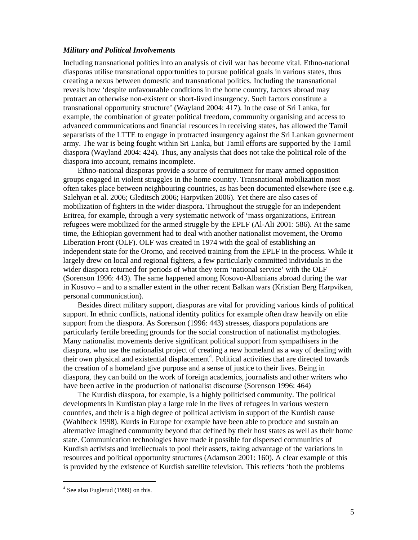#### *Military and Political Involvements*

Including transnational politics into an analysis of civil war has become vital. Ethno-national diasporas utilise transnational opportunities to pursue political goals in various states, thus creating a nexus between domestic and transnational politics. Including the transnational reveals how 'despite unfavourable conditions in the home country, factors abroad may protract an otherwise non-existent or short-lived insurgency. Such factors constitute a transnational opportunity structure' (Wayland 2004: 417). In the case of Sri Lanka, for example, the combination of greater political freedom, community organising and access to advanced communications and financial resources in receiving states, has allowed the Tamil separatists of the LTTE to engage in protracted insurgency against the Sri Lankan govnerment army. The war is being fought within Sri Lanka, but Tamil efforts are supported by the Tamil diaspora (Wayland 2004: 424). Thus, any analysis that does not take the political role of the diaspora into account, remains incomplete.

 Ethno-national diasporas provide a source of recruitment for many armed opposition groups engaged in violent struggles in the home country. Transnational mobilization most often takes place between neighbouring countries, as has been documented elsewhere (see e.g. Salehyan et al. 2006; Gleditsch 2006; Harpviken 2006). Yet there are also cases of mobilization of fighters in the wider diaspora. Throughout the struggle for an independent Eritrea, for example, through a very systematic network of 'mass organizations, Eritrean refugees were mobilized for the armed struggle by the EPLF (Al-Ali 2001: 586). At the same time, the Ethiopian government had to deal with another nationalist movement, the Oromo Liberation Front (OLF). OLF was created in 1974 with the goal of establishing an independent state for the Oromo, and received training from the EPLF in the process. While it largely drew on local and regional fighters, a few particularly committed individuals in the wider diaspora returned for periods of what they term 'national service' with the OLF (Sorenson 1996: 443). The same happened among Kosovo-Albanians abroad during the war in Kosovo – and to a smaller extent in the other recent Balkan wars (Kristian Berg Harpviken, personal communication).

 Besides direct military support, diasporas are vital for providing various kinds of political support. In ethnic conflicts, national identity politics for example often draw heavily on elite support from the diaspora. As Sorenson (1996: 443) stresses, diaspora populations are particularly fertile breeding grounds for the social construction of nationalist mythologies. Many nationalist movements derive significant political support from sympathisers in the diaspora, who use the nationalist project of creating a new homeland as a way of dealing with their own physical and existential displacement<sup>4</sup>. Political activities that are directed towards the creation of a homeland give purpose and a sense of justice to their lives. Being in diaspora, they can build on the work of foreign academics, journalists and other writers who have been active in the production of nationalist discourse (Sorenson 1996: 464)

 The Kurdish diaspora, for example, is a highly politicised community. The political developments in Kurdistan play a large role in the lives of refugees in various western countries, and their is a high degree of political activism in support of the Kurdish cause (Wahlbeck 1998). Kurds in Europe for example have been able to produce and sustain an alternative imagined community beyond that defined by their host states as well as their home state. Communication technologies have made it possible for dispersed communities of Kurdish activists and intellectuals to pool their assets, taking advantage of the variations in resources and political opportunity structures (Adamson 2001: 160). A clear example of this is provided by the existence of Kurdish satellite television. This reflects 'both the problems

 $\overline{a}$ 

<sup>&</sup>lt;sup>4</sup> See also Fuglerud (1999) on this.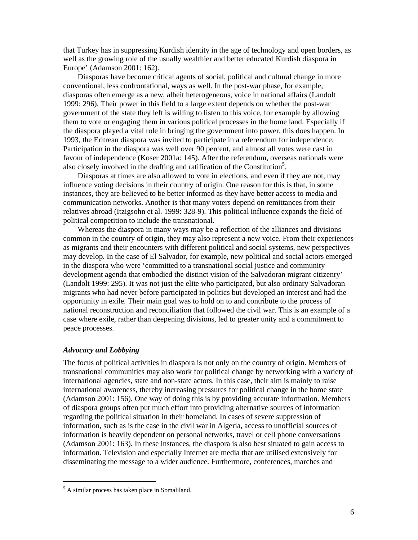that Turkey has in suppressing Kurdish identity in the age of technology and open borders, as well as the growing role of the usually wealthier and better educated Kurdish diaspora in Europe' (Adamson 2001: 162).

 Diasporas have become critical agents of social, political and cultural change in more conventional, less confrontational, ways as well. In the post-war phase, for example, diasporas often emerge as a new, albeit heterogeneous, voice in national affairs (Landolt 1999: 296). Their power in this field to a large extent depends on whether the post-war government of the state they left is willing to listen to this voice, for example by allowing them to vote or engaging them in various political processes in the home land. Especially if the diaspora played a vital role in bringing the government into power, this does happen. In 1993, the Eritrean diaspora was invited to participate in a referendum for independence. Participation in the diaspora was well over 90 percent, and almost all votes were cast in favour of independence (Koser 2001a: 145). After the referendum, overseas nationals were also closely involved in the drafting and ratification of the Constitution<sup>5</sup>.

Diasporas at times are also allowed to vote in elections, and even if they are not, may influence voting decisions in their country of origin. One reason for this is that, in some instances, they are believed to be better informed as they have better access to media and communication networks. Another is that many voters depend on remittances from their relatives abroad (Itzigsohn et al. 1999: 328-9). This political influence expands the field of political competition to include the transnational.

Whereas the diaspora in many ways may be a reflection of the alliances and divisions common in the country of origin, they may also represent a new voice. From their experiences as migrants and their encounters with different political and social systems, new perspectives may develop. In the case of El Salvador, for example, new political and social actors emerged in the diaspora who were 'committed to a transnational social justice and community development agenda that embodied the distinct vision of the Salvadoran migrant citizenry' (Landolt 1999: 295). It was not just the elite who participated, but also ordinary Salvadoran migrants who had never before participated in politics but developed an interest and had the opportunity in exile. Their main goal was to hold on to and contribute to the process of national reconstruction and reconciliation that followed the civil war. This is an example of a case where exile, rather than deepening divisions, led to greater unity and a commitment to peace processes.

# *Advocacy and Lobbying*

 $\overline{a}$ 

The focus of political activities in diaspora is not only on the country of origin. Members of transnational communities may also work for political change by networking with a variety of international agencies, state and non-state actors. In this case, their aim is mainly to raise international awareness, thereby increasing pressures for political change in the home state (Adamson 2001: 156). One way of doing this is by providing accurate information. Members of diaspora groups often put much effort into providing alternative sources of information regarding the political situation in their homeland. In cases of severe suppression of information, such as is the case in the civil war in Algeria, access to unofficial sources of information is heavily dependent on personal networks, travel or cell phone conversations (Adamson 2001: 163). In these instances, the diaspora is also best situated to gain access to information. Television and especially Internet are media that are utilised extensively for disseminating the message to a wider audience. Furthermore, conferences, marches and

<sup>&</sup>lt;sup>5</sup> A similar process has taken place in Somaliland.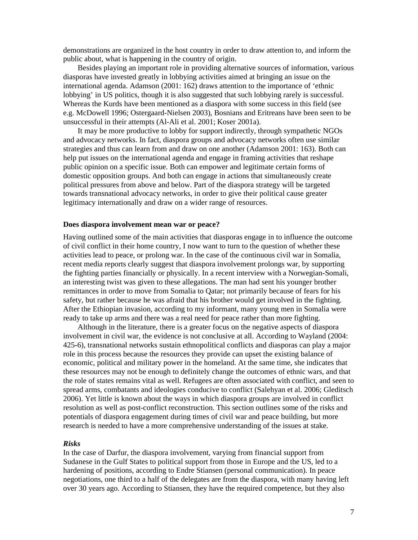demonstrations are organized in the host country in order to draw attention to, and inform the public about, what is happening in the country of origin.

 Besides playing an important role in providing alternative sources of information, various diasporas have invested greatly in lobbying activities aimed at bringing an issue on the international agenda. Adamson (2001: 162) draws attention to the importance of 'ethnic lobbying' in US politics, though it is also suggested that such lobbying rarely is successful. Whereas the Kurds have been mentioned as a diaspora with some success in this field (see e.g. McDowell 1996; Ostergaard-Nielsen 2003), Bosnians and Eritreans have been seen to be unsuccessful in their attempts (Al-Ali et al. 2001; Koser 2001a).

It may be more productive to lobby for support indirectly, through sympathetic NGOs and advocacy networks. In fact, diaspora groups and advocacy networks often use similar strategies and thus can learn from and draw on one another (Adamson 2001: 163). Both can help put issues on the international agenda and engage in framing activities that reshape public opinion on a specific issue. Both can empower and legitimate certain forms of domestic opposition groups. And both can engage in actions that simultaneously create political pressures from above and below. Part of the diaspora strategy will be targeted towards transnational advocacy networks, in order to give their political cause greater legitimacy internationally and draw on a wider range of resources.

### **Does diaspora involvement mean war or peace?**

Having outlined some of the main activities that diasporas engage in to influence the outcome of civil conflict in their home country, I now want to turn to the question of whether these activities lead to peace, or prolong war. In the case of the continuous civil war in Somalia, recent media reports clearly suggest that diaspora involvement prolongs war, by supporting the fighting parties financially or physically. In a recent interview with a Norwegian-Somali, an interesting twist was given to these allegations. The man had sent his younger brother remittances in order to move from Somalia to Qatar; not primarily because of fears for his safety, but rather because he was afraid that his brother would get involved in the fighting. After the Ethiopian invasion, according to my informant, many young men in Somalia were ready to take up arms and there was a real need for peace rather than more fighting.

Although in the literature, there is a greater focus on the negative aspects of diaspora involvement in civil war, the evidence is not conclusive at all. According to Wayland (2004: 425-6), transnational networks sustain ethnopolitical conflicts and diasporas can play a major role in this process because the resources they provide can upset the existing balance of economic, political and military power in the homeland. At the same time, she indicates that these resources may not be enough to definitely change the outcomes of ethnic wars, and that the role of states remains vital as well. Refugees are often associated with conflict, and seen to spread arms, combatants and ideologies conducive to conflict (Salehyan et al. 2006; Gleditsch 2006). Yet little is known about the ways in which diaspora groups are involved in conflict resolution as well as post-conflict reconstruction. This section outlines some of the risks and potentials of diaspora engagement during times of civil war and peace building, but more research is needed to have a more comprehensive understanding of the issues at stake.

#### *Risks*

In the case of Darfur, the diaspora involvement, varying from financial support from Sudanese in the Gulf States to political support from those in Europe and the US, led to a hardening of positions, according to Endre Stiansen (personal communication). In peace negotiations, one third to a half of the delegates are from the diaspora, with many having left over 30 years ago. According to Stiansen, they have the required competence, but they also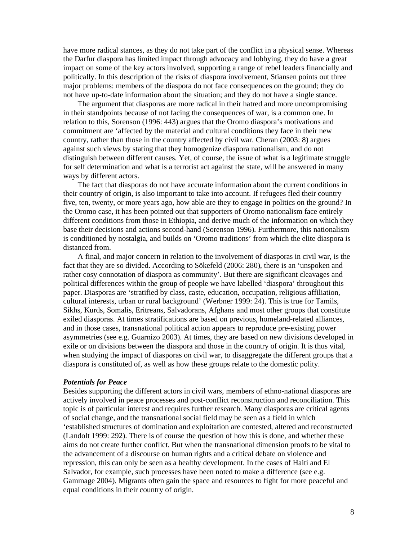have more radical stances, as they do not take part of the conflict in a physical sense. Whereas the Darfur diaspora has limited impact through advocacy and lobbying, they do have a great impact on some of the key actors involved, supporting a range of rebel leaders financially and politically. In this description of the risks of diaspora involvement, Stiansen points out three major problems: members of the diaspora do not face consequences on the ground; they do not have up-to-date information about the situation; and they do not have a single stance.

 The argument that diasporas are more radical in their hatred and more uncompromising in their standpoints because of not facing the consequences of war, is a common one. In relation to this, Sorenson (1996: 443) argues that the Oromo diaspora's motivations and commitment are 'affected by the material and cultural conditions they face in their new country, rather than those in the country affected by civil war. Cheran (2003: 8) argues against such views by stating that they homogenize diaspora nationalism, and do not distinguish between different causes. Yet, of course, the issue of what is a legitimate struggle for self determination and what is a terrorist act against the state, will be answered in many ways by different actors.

 The fact that diasporas do not have accurate information about the current conditions in their country of origin, is also important to take into account. If refugees fled their country five, ten, twenty, or more years ago, how able are they to engage in politics on the ground? In the Oromo case, it has been pointed out that supporters of Oromo nationalism face entirely different conditions from those in Ethiopia, and derive much of the information on which they base their decisions and actions second-hand (Sorenson 1996). Furthermore, this nationalism is conditioned by nostalgia, and builds on 'Oromo traditions' from which the elite diaspora is distanced from.

 A final, and major concern in relation to the involvement of diasporas in civil war, is the fact that they are so divided. According to Sökefeld (2006: 280), there is an 'unspoken and rather cosy connotation of diaspora as community'. But there are significant cleavages and political differences within the group of people we have labelled 'diaspora' throughout this paper. Diasporas are 'stratified by class, caste, education, occupation, religious affiliation, cultural interests, urban or rural background' (Werbner 1999: 24). This is true for Tamils, Sikhs, Kurds, Somalis, Eritreans, Salvadorans, Afghans and most other groups that constitute exiled diasporas. At times stratifications are based on previous, homeland-related alliances, and in those cases, transnational political action appears to reproduce pre-existing power asymmetries (see e.g. Guarnizo 2003). At times, they are based on new divisions developed in exile or on divisions between the diaspora and those in the country of origin. It is thus vital, when studying the impact of diasporas on civil war, to disaggregate the different groups that a diaspora is constituted of, as well as how these groups relate to the domestic polity.

# *Potentials for Peace*

Besides supporting the different actors in civil wars, members of ethno-national diasporas are actively involved in peace processes and post-conflict reconstruction and reconciliation. This topic is of particular interest and requires further research. Many diasporas are critical agents of social change, and the transnational social field may be seen as a field in which 'established structures of domination and exploitation are contested, altered and reconstructed (Landolt 1999: 292). There is of course the question of how this is done, and whether these aims do not create further conflict. But when the transnational dimension proofs to be vital to the advancement of a discourse on human rights and a critical debate on violence and repression, this can only be seen as a healthy development. In the cases of Haiti and El Salvador, for example, such processes have been noted to make a difference (see e.g. Gammage 2004). Migrants often gain the space and resources to fight for more peaceful and equal conditions in their country of origin.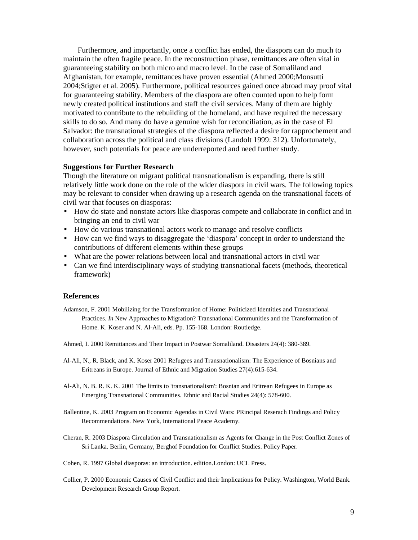Furthermore, and importantly, once a conflict has ended, the diaspora can do much to maintain the often fragile peace. In the reconstruction phase, remittances are often vital in guaranteeing stability on both micro and macro level. In the case of Somaliland and Afghanistan, for example, remittances have proven essential (Ahmed 2000;Monsutti 2004;Stigter et al. 2005). Furthermore, political resources gained once abroad may proof vital for guaranteeing stability. Members of the diaspora are often counted upon to help form newly created political institutions and staff the civil services. Many of them are highly motivated to contribute to the rebuilding of the homeland, and have required the necessary skills to do so. And many do have a genuine wish for reconciliation, as in the case of El Salvador: the transnational strategies of the diaspora reflected a desire for rapprochement and collaboration across the political and class divisions (Landolt 1999: 312). Unfortunately, however, such potentials for peace are underreported and need further study.

## **Suggestions for Further Research**

Though the literature on migrant political transnationalism is expanding, there is still relatively little work done on the role of the wider diaspora in civil wars. The following topics may be relevant to consider when drawing up a research agenda on the transnational facets of civil war that focuses on diasporas:

- How do state and nonstate actors like diasporas compete and collaborate in conflict and in bringing an end to civil war
- How do various transnational actors work to manage and resolve conflicts
- How can we find ways to disaggregate the 'diaspora' concept in order to understand the contributions of different elements within these groups
- What are the power relations between local and transnational actors in civil war
- Can we find interdisciplinary ways of studying transnational facets (methods, theoretical framework)

### **References**

- Adamson, F. 2001 Mobilizing for the Transformation of Home: Politicized Identities and Transnational Practices. *In* New Approaches to Migration? Transnational Communities and the Transformation of Home. K. Koser and N. Al-Ali, eds. Pp. 155-168. London: Routledge.
- Ahmed, I. 2000 Remittances and Their Impact in Postwar Somaliland. Disasters 24(4): 380-389.
- Al-Ali, N., R. Black, and K. Koser 2001 Refugees and Transnationalism: The Experience of Bosnians and Eritreans in Europe. Journal of Ethnic and Migration Studies 27(4):615-634.
- Al-Ali, N. B. R. K. K. 2001 The limits to 'transnationalism': Bosnian and Eritrean Refugees in Europe as Emerging Transnational Communities. Ethnic and Racial Studies 24(4): 578-600.
- Ballentine, K. 2003 Program on Economic Agendas in Civil Wars: PRincipal Reserach Findings and Policy Recommendations. New York, International Peace Academy.
- Cheran, R. 2003 Diaspora Circulation and Transnationalism as Agents for Change in the Post Conflict Zones of Sri Lanka. Berlin, Germany, Berghof Foundation for Conflict Studies. Policy Paper.
- Cohen, R. 1997 Global diasporas: an introduction. edition.London: UCL Press.
- Collier, P. 2000 Economic Causes of Civil Conflict and their Implications for Policy. Washington, World Bank. Development Research Group Report.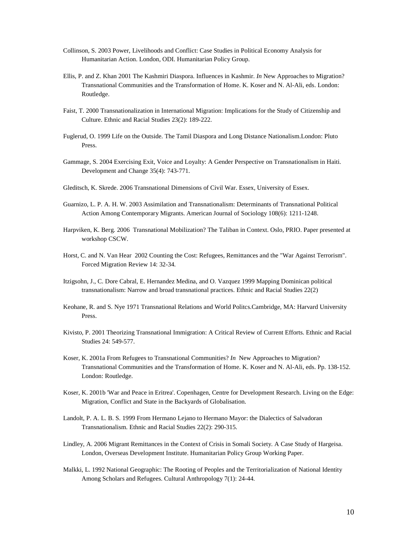- Collinson, S. 2003 Power, Livelihoods and Conflict: Case Studies in Political Economy Analysis for Humanitarian Action. London, ODI. Humanitarian Policy Group.
- Ellis, P. and Z. Khan 2001 The Kashmiri Diaspora. Influences in Kashmir. *In* New Approaches to Migration? Transnational Communities and the Transformation of Home. K. Koser and N. Al-Ali, eds. London: Routledge.
- Faist, T. 2000 Transnationalization in International Migration: Implications for the Study of Citizenship and Culture. Ethnic and Racial Studies 23(2): 189-222.
- Fuglerud, O. 1999 Life on the Outside. The Tamil Diaspora and Long Distance Nationalism.London: Pluto Press.
- Gammage, S. 2004 Exercising Exit, Voice and Loyalty: A Gender Perspective on Transnationalism in Haiti. Development and Change 35(4): 743-771.
- Gleditsch, K. Skrede. 2006 Transnational Dimensions of Civil War. Essex, University of Essex.
- Guarnizo, L. P. A. H. W. 2003 Assimilation and Transnationalism: Determinants of Transnational Political Action Among Contemporary Migrants. American Journal of Sociology 108(6): 1211-1248.
- Harpviken, K. Berg. 2006 Transnational Mobilization? The Taliban in Context. Oslo, PRIO. Paper presented at workshop CSCW.
- Horst, C. and N. Van Hear 2002 Counting the Cost: Refugees, Remittances and the "War Against Terrorism". Forced Migration Review 14: 32-34.
- Itzigsohn, J., C. Dore Cabral, E. Hernandez Medina, and O. Vazquez 1999 Mapping Dominican political transnationalism: Narrow and broad transnational practices. Ethnic and Racial Studies 22(2)
- Keohane, R. and S. Nye 1971 Transnational Relations and World Politcs.Cambridge, MA: Harvard University Press.
- Kivisto, P. 2001 Theorizing Transnational Immigration: A Critical Review of Current Efforts. Ethnic and Racial Studies 24: 549-577.
- Koser, K. 2001a From Refugees to Transnational Communities? *In* New Approaches to Migration? Transnational Communities and the Transformation of Home. K. Koser and N. Al-Ali, eds. Pp. 138-152. London: Routledge.
- Koser, K. 2001b 'War and Peace in Eritrea'. Copenhagen, Centre for Development Research. Living on the Edge: Migration, Conflict and State in the Backyards of Globalisation.
- Landolt, P. A. L. B. S. 1999 From Hermano Lejano to Hermano Mayor: the Dialectics of Salvadoran Transnationalism. Ethnic and Racial Studies 22(2): 290-315.
- Lindley, A. 2006 Migrant Remittances in the Context of Crisis in Somali Society. A Case Study of Hargeisa. London, Overseas Development Institute. Humanitarian Policy Group Working Paper.
- Malkki, L. 1992 National Geographic: The Rooting of Peoples and the Territorialization of National Identity Among Scholars and Refugees. Cultural Anthropology 7(1): 24-44.